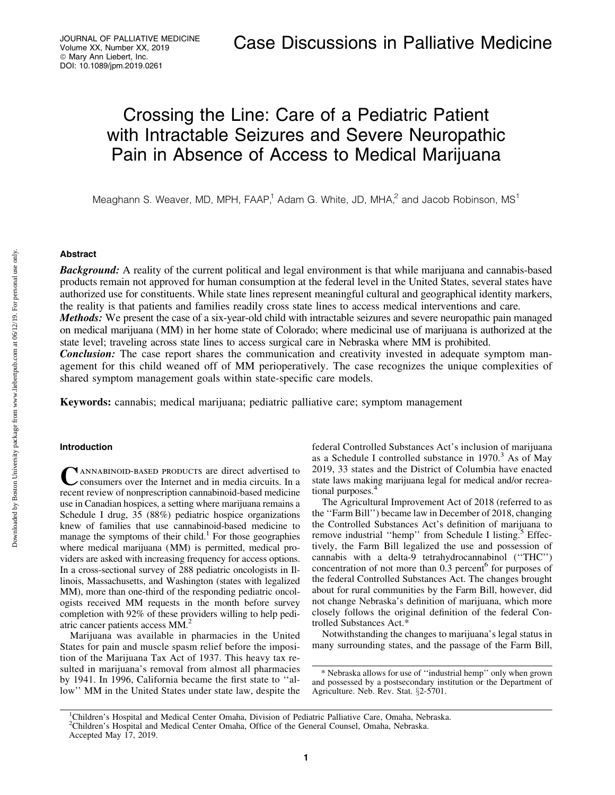# Crossing the Line: Care of a Pediatric Patient with Intractable Seizures and Severe Neuropathic Pain in Absence of Access to Medical Marijuana

Meaghann S. Weaver, MD, MPH, FAAP,<sup>1</sup> Adam G. White, JD, MHA, $^2$  and Jacob Robinson, MS<sup>1</sup>

## Abstract

**Background:** A reality of the current political and legal environment is that while marijuana and cannabis-based products remain not approved for human consumption at the federal level in the United States, several states have authorized use for constituents. While state lines represent meaningful cultural and geographical identity markers, the reality is that patients and families readily cross state lines to access medical interventions and care.

Methods: We present the case of a six-year-old child with intractable seizures and severe neuropathic pain managed on medical marijuana (MM) in her home state of Colorado; where medicinal use of marijuana is authorized at the state level; traveling across state lines to access surgical care in Nebraska where MM is prohibited.

**Conclusion:** The case report shares the communication and creativity invested in adequate symptom management for this child weaned off of MM perioperatively. The case recognizes the unique complexities of shared symptom management goals within state-specific care models.

Keywords: cannabis; medical marijuana; pediatric palliative care; symptom management

## Introduction

MANNABINOID-BASED PRODUCTS are direct advertised to consumers over the Internet and in media circuits. In a recent review of nonprescription cannabinoid-based medicine use in Canadian hospices, a setting where marijuana remains a Schedule I drug, 35 (88%) pediatric hospice organizations knew of families that use cannabinoid-based medicine to manage the symptoms of their child.<sup>1</sup> For those geographies where medical marijuana (MM) is permitted, medical providers are asked with increasing frequency for access options. In a cross-sectional survey of 288 pediatric oncologists in Illinois, Massachusetts, and Washington (states with legalized MM), more than one-third of the responding pediatric oncologists received MM requests in the month before survey completion with 92% of these providers willing to help pediatric cancer patients access MM.2

Marijuana was available in pharmacies in the United States for pain and muscle spasm relief before the imposition of the Marijuana Tax Act of 1937. This heavy tax resulted in marijuana's removal from almost all pharmacies by 1941. In 1996, California became the first state to ''allow'' MM in the United States under state law, despite the federal Controlled Substances Act's inclusion of marijuana as a Schedule I controlled substance in  $1970<sup>3</sup>$  As of May 2019, 33 states and the District of Columbia have enacted state laws making marijuana legal for medical and/or recreational purposes.<sup>4</sup>

The Agricultural Improvement Act of 2018 (referred to as the ''Farm Bill'') became law in December of 2018, changing the Controlled Substances Act's definition of marijuana to remove industrial "hemp" from Schedule I listing.<sup>5</sup> Effectively, the Farm Bill legalized the use and possession of cannabis with a delta-9 tetrahydrocannabinol (''THC'') concentration of not more than  $0.3$  percent<sup>6</sup> for purposes of the federal Controlled Substances Act. The changes brought about for rural communities by the Farm Bill, however, did not change Nebraska's definition of marijuana, which more closely follows the original definition of the federal Controlled Substances Act.\*

Notwithstanding the changes to marijuana's legal status in many surrounding states, and the passage of the Farm Bill,

<sup>\*</sup> Nebraska allows for use of ''industrial hemp'' only when grown and possessed by a postsecondary institution or the Department of Agriculture. Neb. Rev. Stat. §2-5701.

<sup>&</sup>lt;sup>1</sup>Children's Hospital and Medical Center Omaha, Division of Pediatric Palliative Care, Omaha, Nebraska.<br><sup>2</sup>Children's Hospital and Medical Center Omaha, Office of the General Counsel, Omaha, Nebraska. Accepted May 17, 2019.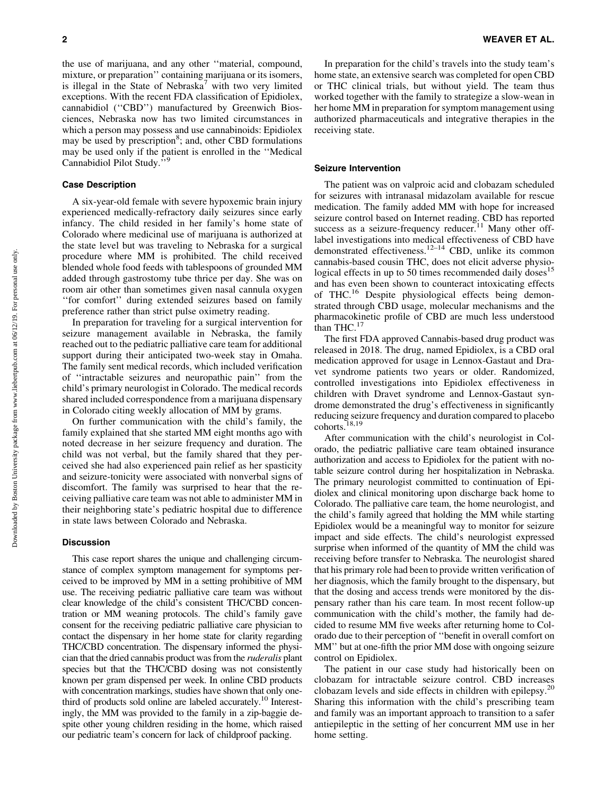the use of marijuana, and any other ''material, compound, mixture, or preparation'' containing marijuana or its isomers, is illegal in the State of Nebraska<sup>7</sup> with two very limited exceptions. With the recent FDA classification of Epidiolex, cannabidiol (''CBD'') manufactured by Greenwich Biosciences, Nebraska now has two limited circumstances in which a person may possess and use cannabinoids: Epidiolex may be used by prescription<sup>8</sup>; and, other CBD formulations may be used only if the patient is enrolled in the ''Medical Cannabidiol Pilot Study.''<sup>9</sup>

#### Case Description

A six-year-old female with severe hypoxemic brain injury experienced medically-refractory daily seizures since early infancy. The child resided in her family's home state of Colorado where medicinal use of marijuana is authorized at the state level but was traveling to Nebraska for a surgical procedure where MM is prohibited. The child received blended whole food feeds with tablespoons of grounded MM added through gastrostomy tube thrice per day. She was on room air other than sometimes given nasal cannula oxygen ''for comfort'' during extended seizures based on family preference rather than strict pulse oximetry reading.

In preparation for traveling for a surgical intervention for seizure management available in Nebraska, the family reached out to the pediatric palliative care team for additional support during their anticipated two-week stay in Omaha. The family sent medical records, which included verification of ''intractable seizures and neuropathic pain'' from the child's primary neurologist in Colorado. The medical records shared included correspondence from a marijuana dispensary in Colorado citing weekly allocation of MM by grams.

On further communication with the child's family, the family explained that she started MM eight months ago with noted decrease in her seizure frequency and duration. The child was not verbal, but the family shared that they perceived she had also experienced pain relief as her spasticity and seizure-tonicity were associated with nonverbal signs of discomfort. The family was surprised to hear that the receiving palliative care team was not able to administer MM in their neighboring state's pediatric hospital due to difference in state laws between Colorado and Nebraska.

#### **Discussion**

This case report shares the unique and challenging circumstance of complex symptom management for symptoms perceived to be improved by MM in a setting prohibitive of MM use. The receiving pediatric palliative care team was without clear knowledge of the child's consistent THC/CBD concentration or MM weaning protocols. The child's family gave consent for the receiving pediatric palliative care physician to contact the dispensary in her home state for clarity regarding THC/CBD concentration. The dispensary informed the physician that the dried cannabis product was from the *ruderalis* plant species but that the THC/CBD dosing was not consistently known per gram dispensed per week. In online CBD products with concentration markings, studies have shown that only onethird of products sold online are labeled accurately.<sup>10</sup> Interestingly, the MM was provided to the family in a zip-baggie despite other young children residing in the home, which raised our pediatric team's concern for lack of childproof packing.

In preparation for the child's travels into the study team's home state, an extensive search was completed for open CBD or THC clinical trials, but without yield. The team thus worked together with the family to strategize a slow-wean in her home MM in preparation for symptom management using authorized pharmaceuticals and integrative therapies in the receiving state.

#### Seizure Intervention

The patient was on valproic acid and clobazam scheduled for seizures with intranasal midazolam available for rescue medication. The family added MM with hope for increased seizure control based on Internet reading. CBD has reported success as a seizure-frequency reducer.<sup>11</sup> Many other offlabel investigations into medical effectiveness of CBD have demonstrated effectiveness.<sup>12-14</sup> CBD, unlike its common cannabis-based cousin THC, does not elicit adverse physiological effects in up to 50 times recommended daily doses<sup>15</sup> and has even been shown to counteract intoxicating effects of THC.<sup>16</sup> Despite physiological effects being demonstrated through CBD usage, molecular mechanisms and the pharmacokinetic profile of CBD are much less understood than THC.<sup>17</sup>

The first FDA approved Cannabis-based drug product was released in 2018. The drug, named Epidiolex, is a CBD oral medication approved for usage in Lennox-Gastaut and Dravet syndrome patients two years or older. Randomized, controlled investigations into Epidiolex effectiveness in children with Dravet syndrome and Lennox-Gastaut syndrome demonstrated the drug's effectiveness in significantly reducing seizure frequency and duration compared to placebo cohorts.<sup>18,19</sup>

After communication with the child's neurologist in Colorado, the pediatric palliative care team obtained insurance authorization and access to Epidiolex for the patient with notable seizure control during her hospitalization in Nebraska. The primary neurologist committed to continuation of Epidiolex and clinical monitoring upon discharge back home to Colorado. The palliative care team, the home neurologist, and the child's family agreed that holding the MM while starting Epidiolex would be a meaningful way to monitor for seizure impact and side effects. The child's neurologist expressed surprise when informed of the quantity of MM the child was receiving before transfer to Nebraska. The neurologist shared that his primary role had been to provide written verification of her diagnosis, which the family brought to the dispensary, but that the dosing and access trends were monitored by the dispensary rather than his care team. In most recent follow-up communication with the child's mother, the family had decided to resume MM five weeks after returning home to Colorado due to their perception of ''benefit in overall comfort on MM'' but at one-fifth the prior MM dose with ongoing seizure control on Epidiolex.

The patient in our case study had historically been on clobazam for intractable seizure control. CBD increases clobazam levels and side effects in children with epilepsy.<sup>20</sup> Sharing this information with the child's prescribing team and family was an important approach to transition to a safer antiepileptic in the setting of her concurrent MM use in her home setting.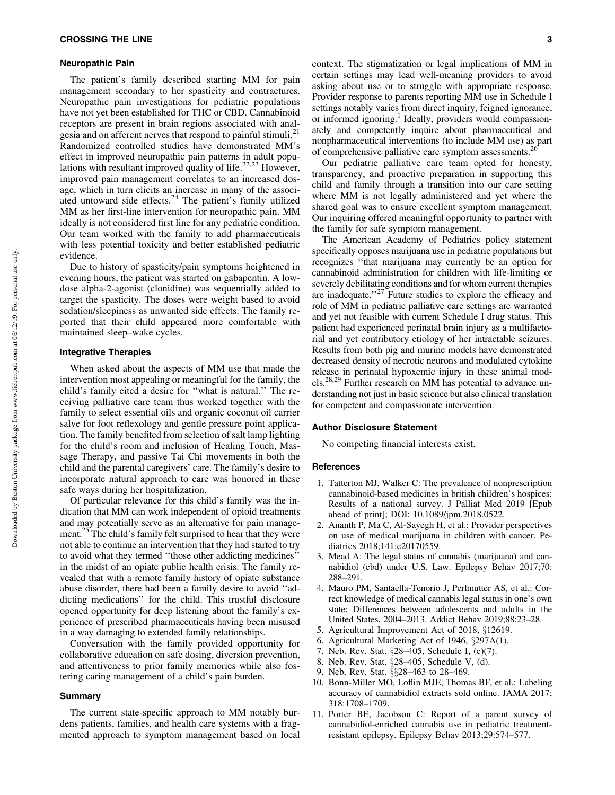#### Neuropathic Pain

The patient's family described starting MM for pain management secondary to her spasticity and contractures. Neuropathic pain investigations for pediatric populations have not yet been established for THC or CBD. Cannabinoid receptors are present in brain regions associated with analgesia and on afferent nerves that respond to painful stimuli.<sup>21</sup> Randomized controlled studies have demonstrated MM's effect in improved neuropathic pain patterns in adult populations with resultant improved quality of life.<sup>22,23</sup> However, improved pain management correlates to an increased dosage, which in turn elicits an increase in many of the associated untoward side effects.<sup>24</sup> The patient's family utilized MM as her first-line intervention for neuropathic pain. MM ideally is not considered first line for any pediatric condition. Our team worked with the family to add pharmaceuticals with less potential toxicity and better established pediatric evidence.

Due to history of spasticity/pain symptoms heightened in evening hours, the patient was started on gabapentin. A lowdose alpha-2-agonist (clonidine) was sequentially added to target the spasticity. The doses were weight based to avoid sedation/sleepiness as unwanted side effects. The family reported that their child appeared more comfortable with maintained sleep–wake cycles.

### Integrative Therapies

When asked about the aspects of MM use that made the intervention most appealing or meaningful for the family, the child's family cited a desire for ''what is natural.'' The receiving palliative care team thus worked together with the family to select essential oils and organic coconut oil carrier salve for foot reflexology and gentle pressure point application. The family benefited from selection of salt lamp lighting for the child's room and inclusion of Healing Touch, Massage Therapy, and passive Tai Chi movements in both the child and the parental caregivers' care. The family's desire to incorporate natural approach to care was honored in these safe ways during her hospitalization.

Of particular relevance for this child's family was the indication that MM can work independent of opioid treatments and may potentially serve as an alternative for pain management.<sup>25</sup> The child's family felt surprised to hear that they were not able to continue an intervention that they had started to try to avoid what they termed ''those other addicting medicines'' in the midst of an opiate public health crisis. The family revealed that with a remote family history of opiate substance abuse disorder, there had been a family desire to avoid ''addicting medications'' for the child. This trustful disclosure opened opportunity for deep listening about the family's experience of prescribed pharmaceuticals having been misused in a way damaging to extended family relationships.

Conversation with the family provided opportunity for collaborative education on safe dosing, diversion prevention, and attentiveness to prior family memories while also fostering caring management of a child's pain burden.

#### **Summary**

The current state-specific approach to MM notably burdens patients, families, and health care systems with a fragmented approach to symptom management based on local

Our pediatric palliative care team opted for honesty, transparency, and proactive preparation in supporting this child and family through a transition into our care setting where MM is not legally administered and yet where the shared goal was to ensure excellent symptom management. Our inquiring offered meaningful opportunity to partner with the family for safe symptom management.

The American Academy of Pediatrics policy statement specifically opposes marijuana use in pediatric populations but recognizes ''that marijuana may currently be an option for cannabinoid administration for children with life-limiting or severely debilitating conditions and for whom current therapies are inadequate." $27$  Future studies to explore the efficacy and role of MM in pediatric palliative care settings are warranted and yet not feasible with current Schedule I drug status. This patient had experienced perinatal brain injury as a multifactorial and yet contributory etiology of her intractable seizures. Results from both pig and murine models have demonstrated decreased density of necrotic neurons and modulated cytokine release in perinatal hypoxemic injury in these animal models.28,29 Further research on MM has potential to advance understanding not just in basic science but also clinical translation for competent and compassionate intervention.

#### Author Disclosure Statement

No competing financial interests exist.

#### **References**

- 1. Tatterton MJ, Walker C: The prevalence of nonprescription cannabinoid-based medicines in british children's hospices: Results of a national survey. J Palliat Med 2019 [Epub ahead of print]; DOI: 10.1089/jpm.2018.0522.
- 2. Ananth P, Ma C, Al-Sayegh H, et al.: Provider perspectives on use of medical marijuana in children with cancer. Pediatrics 2018;141:e20170559.
- 3. Mead A: The legal status of cannabis (marijuana) and cannabidiol (cbd) under U.S. Law. Epilepsy Behav 2017;70: 288–291.
- 4. Mauro PM, Santaella-Tenorio J, Perlmutter AS, et al.: Correct knowledge of medical cannabis legal status in one's own state: Differences between adolescents and adults in the United States, 2004–2013. Addict Behav 2019;88:23–28.
- 5. Agricultural Improvement Act of 2018,  $\S12619$ .
- 6. Agricultural Marketing Act of 1946,  $\S 297A(1)$ .
- 7. Neb. Rev. Stat. §28–405, Schedule I, (c)(7).
- 8. Neb. Rev. Stat. §28–405, Schedule V, (d).
- 9. Neb. Rev. Stat. §§28-463 to 28-469.
- 10. Bonn-Miller MO, Loflin MJE, Thomas BF, et al.: Labeling accuracy of cannabidiol extracts sold online. JAMA 2017; 318:1708–1709.
- 11. Porter BE, Jacobson C: Report of a parent survey of cannabidiol-enriched cannabis use in pediatric treatmentresistant epilepsy. Epilepsy Behav 2013;29:574–577.